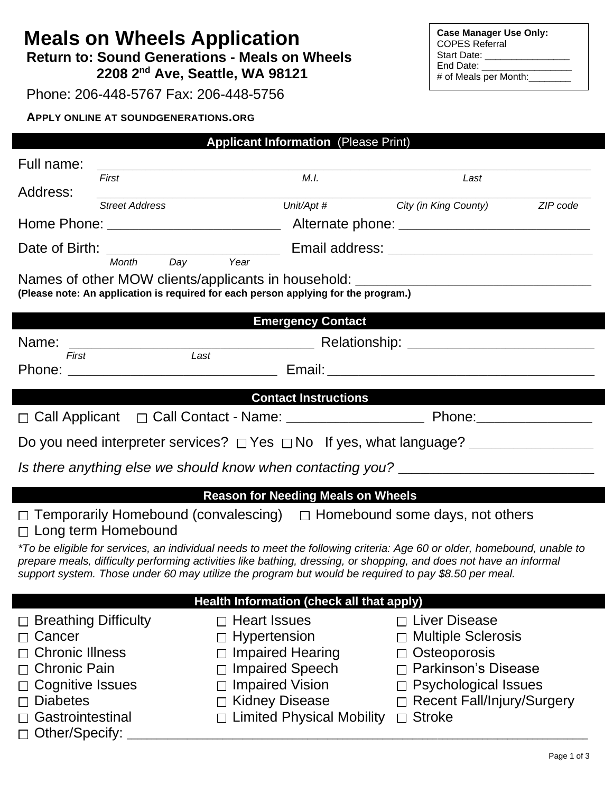# **Meals on Wheels Application**

 **Return to: Sound Generations - Meals on Wheels 2208 2nd Ave, Seattle, WA 98121**

Phone: 206-448-5767 Fax: 206-448-5756

### **APPLY ONLINE AT SOUNDGENERATIONS.ORG**

| <b>Case Manager Use Only:</b><br><b>COPES Referral</b> |
|--------------------------------------------------------|
| Start Date:                                            |
| End Date:                                              |
| # of Meals per Month:                                  |
|                                                        |

|                             |                                                      | <b>Applicant Information (Please Print)</b>                                                                             |                                   |          |  |
|-----------------------------|------------------------------------------------------|-------------------------------------------------------------------------------------------------------------------------|-----------------------------------|----------|--|
| Full name:                  |                                                      |                                                                                                                         |                                   |          |  |
|                             | First                                                | M.I.                                                                                                                    | Last                              |          |  |
| Address:                    | <b>Street Address</b>                                | Unit/Apt #                                                                                                              | City (in King County)             | ZIP code |  |
|                             |                                                      |                                                                                                                         |                                   |          |  |
|                             |                                                      |                                                                                                                         |                                   |          |  |
|                             | Day<br>Month                                         | Year                                                                                                                    |                                   |          |  |
|                             |                                                      | Names of other MOW clients/applicants in household: ____________________________                                        |                                   |          |  |
|                             |                                                      | (Please note: An application is required for each person applying for the program.)                                     |                                   |          |  |
|                             |                                                      | <b>Emergency Contact</b>                                                                                                |                                   |          |  |
| Name:                       | <u> 1989 - Jan Barnett, fransk politik (d. 1989)</u> |                                                                                                                         |                                   |          |  |
| First                       | Last                                                 |                                                                                                                         |                                   |          |  |
|                             |                                                      |                                                                                                                         |                                   |          |  |
|                             |                                                      | <b>Contact Instructions Contact Instructions</b>                                                                        |                                   |          |  |
|                             |                                                      |                                                                                                                         |                                   |          |  |
|                             |                                                      |                                                                                                                         |                                   |          |  |
|                             |                                                      |                                                                                                                         |                                   |          |  |
|                             |                                                      | Is there anything else we should know when contacting you? _____________________                                        |                                   |          |  |
|                             |                                                      | <b>Reason for Needing Meals on Wheels</b>                                                                               |                                   |          |  |
|                             |                                                      | $\Box$ Temporarily Homebound (convalescing) $\Box$ Homebound some days, not others                                      |                                   |          |  |
|                             | $\Box$ Long term Homebound                           |                                                                                                                         |                                   |          |  |
|                             |                                                      | *To be eligible for services, an individual needs to meet the following criteria: Age 60 or older, homebound, unable to |                                   |          |  |
|                             |                                                      | prepare meals, difficulty performing activities like bathing, dressing, or shopping, and does not have an informal      |                                   |          |  |
|                             |                                                      | support system. Those under 60 may utilize the program but would be required to pay \$8.50 per meal.                    |                                   |          |  |
|                             |                                                      | Health Information (check all that apply)                                                                               |                                   |          |  |
| $\Box$ Breathing Difficulty |                                                      | $\Box$ Heart Issues                                                                                                     | $\Box$ Liver Disease              |          |  |
| Cancer                      |                                                      | Hypertension                                                                                                            | <b>Multiple Sclerosis</b>         |          |  |
| <b>Chronic Illness</b>      |                                                      | <b>Impaired Hearing</b>                                                                                                 | Osteoporosis                      |          |  |
| <b>Chronic Pain</b>         |                                                      | <b>Impaired Speech</b>                                                                                                  | <b>Parkinson's Disease</b>        |          |  |
| Cognitive Issues            |                                                      | <b>Impaired Vision</b>                                                                                                  | <b>Psychological Issues</b>       |          |  |
| <b>Diabetes</b>             |                                                      | <b>Kidney Disease</b>                                                                                                   | <b>Recent Fall/Injury/Surgery</b> |          |  |
| Gastrointestinal            |                                                      | <b>Limited Physical Mobility</b>                                                                                        | <b>Stroke</b><br>$\Box$           |          |  |
| Other/Specify:              |                                                      |                                                                                                                         |                                   |          |  |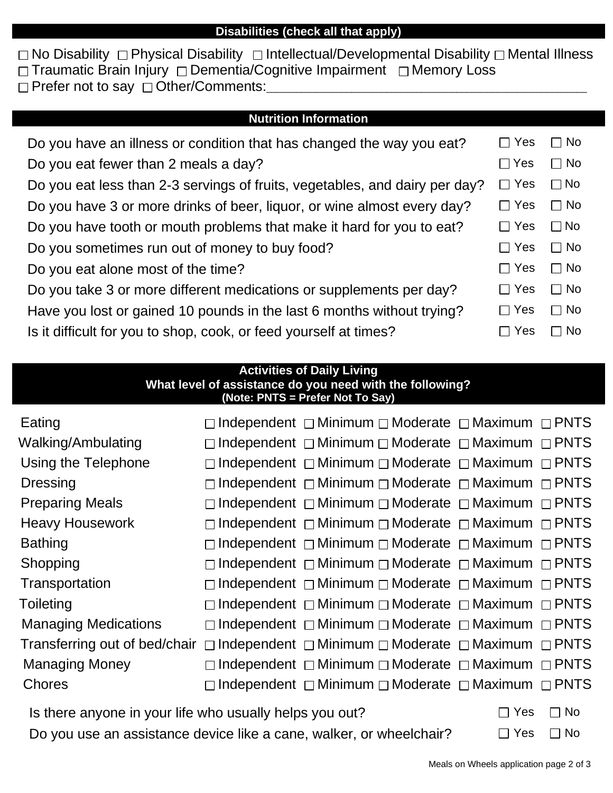#### **Disabilities (check all that apply)**

 $\Box$  No Disability  $\Box$  Physical Disability  $\Box$  Intellectual/Developmental Disability  $\Box$  Mental Illness  $\Box$  Traumatic Brain Injury  $\Box$  Dementia/Cognitive Impairment  $\Box$  Memory Loss □ Prefer not to say □ Other/Comments:

#### **Nutrition Information**

| Do you have an illness or condition that has changed the way you eat?       | Yes                   | $\Box$ No   |
|-----------------------------------------------------------------------------|-----------------------|-------------|
| Do you eat fewer than 2 meals a day?                                        | $\sqcap$ Yes          | $\Box$ No   |
| Do you eat less than 2-3 servings of fruits, vegetables, and dairy per day? | $\sqcap$ Yes          | $\Box$ No   |
| Do you have 3 or more drinks of beer, liquor, or wine almost every day?     | $\sqcap$ Yes          | $\Box$ No   |
| Do you have tooth or mouth problems that make it hard for you to eat?       | $\Box$ Yes            | $\Box$ No   |
| Do you sometimes run out of money to buy food?                              | Yes<br>$\Box$         | $\Box$ No   |
| Do you eat alone most of the time?                                          | Yes<br>$\Box$         | $\Box$ No   |
| Do you take 3 or more different medications or supplements per day?         | $\Box$ Yes            | $\Box$ No   |
| Have you lost or gained 10 pounds in the last 6 months without trying?      | Yes<br>$\blacksquare$ | $\Box$ No   |
| Is it difficult for you to shop, cook, or feed yourself at times?           | Yes                   | $\sqcap$ No |

## **Activities of Daily Living What level of assistance do you need with the following? (Note: PNTS = Prefer Not To Say)** Eating  $\Box$  Independent  $\Box$  Minimum  $\Box$  Moderate  $\Box$  Maximum  $\Box$  PNTS Walking/Ambulating  $\Box$  Independent  $\Box$  Minimum  $\Box$  Moderate  $\Box$  Maximum  $\Box$  PNTS Using the Telephone  $\Box$  Independent  $\Box$  Minimum  $\Box$  Moderate  $\Box$  Maximum  $\Box$  PNTS Dressing  $\Box$  Independent  $\Box$  Minimum  $\Box$  Moderate  $\Box$  Maximum  $\Box$  PNTS Preparing Meals  $\Box$  Independent  $\Box$  Minimum  $\Box$  Moderate  $\Box$  Maximum  $\Box$  PNTS Heavy Housework  $\Box$  Independent  $\Box$  Minimum  $\Box$  Moderate  $\Box$  Maximum  $\Box$  PNTS Bathing  $\Box$  Independent  $\Box$  Minimum  $\Box$  Moderate  $\Box$  Maximum  $\Box$  PNTS Shopping  $\Box$ Independent  $\Box$ Minimum  $\Box$ Moderate  $\Box$ Maximum  $\Box$ PNTS Transportation  $\Box$  Independent  $\Box$  Minimum  $\Box$  Moderate  $\Box$  Maximum  $\Box$  PNTS Toileting  $\Box$  Independent  $\Box$  Minimum  $\Box$  Moderate  $\Box$  Maximum  $\Box$  PNTS Managing Medications  $\Box$  Independent  $\Box$  Minimum  $\Box$  Moderate  $\Box$  Maximum  $\Box$  PNTS Transferring out of bed/chair  $\Box$  Independent  $\Box$  Minimum  $\Box$  Moderate  $\Box$  Maximum  $\Box$  PNTS Managing Money  $\Box$  Independent  $\Box$  Minimum  $\Box$  Moderate  $\Box$  Maximum  $\Box$  PNTS Chores  $\Box$  Independent  $\Box$  Minimum  $\Box$  Moderate  $\Box$  Maximum  $\Box$  PNTS Is there anyone in your life who usually helps you out?  $\square$  Yes  $\square$  No

Do you use an assistance device like a cane, walker, or wheelchair?  $\square$  Yes  $\square$  No